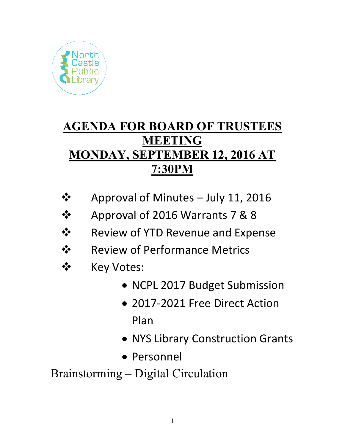

# **AGENDA FOR BOARD OF TRUSTEES MEETING MONDAY, SEPTEMBER 12, 2016 AT 7:30PM**

- $\clubsuit$  Approval of Minutes July 11, 2016
- Approval of 2016 Warrants 7 & 8
- $\dots$  Review of YTD Revenue and Expense
- **❖** Review of Performance Metrics
- ❖ Key Votes:
	- NCPL 2017 Budget Submission
	- 2017-2021 Free Direct Action Plan
	- NYS Library Construction Grants
	- Personnel

Brainstorming – Digital Circulation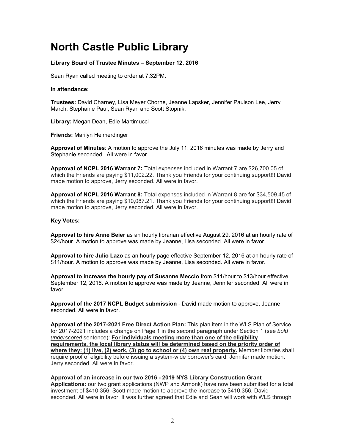## **North Castle Public Library**

### **Library Board of Trustee Minutes – September 12, 2016**

Sean Ryan called meeting to order at 7:32PM.

#### **In attendance:**

**Trustees:** David Charney, Lisa Meyer Chorne, Jeanne Lapsker, Jennifer Paulson Lee, Jerry March, Stephanie Paul, Sean Ryan and Scott Stopnik.

**Library:** Megan Dean, Edie Martimucci

**Friends:** Marilyn Heimerdinger

**Approval of Minutes**: A motion to approve the July 11, 2016 minutes was made by Jerry and Stephanie seconded.All were in favor.

**Approval of NCPL 2016 Warrant 7:** Total expenses included in Warrant 7 are \$26,700.05 of which the Friends are paying \$11,002.22. Thank you Friends for your continuing support!!! David made motion to approve, Jerry seconded. All were in favor.

**Approval of NCPL 2016 Warrant 8:** Total expenses included in Warrant 8 are for \$34,509.45 of which the Friends are paying \$10,087.21. Thank you Friends for your continuing support!!! David made motion to approve, Jerry seconded. All were in favor.

#### **Key Votes:**

**Approval to hire Anne Beier** as an hourly librarian effective August 29, 2016 at an hourly rate of \$24/hour. A motion to approve was made by Jeanne, Lisa seconded. All were in favor.

**Approval to hire Julio Lazo** as an hourly page effective September 12, 2016 at an hourly rate of \$11/hour. A motion to approve was made by Jeanne, Lisa seconded. All were in favor.

**Approval to increase the hourly pay of Susanne Meccio** from \$11/hour to \$13/hour effective September 12, 2016. A motion to approve was made by Jeanne, Jennifer seconded. All were in favor.

**Approval of the 2017 NCPL Budget submission** - David made motion to approve, Jeanne seconded. All were in favor.

**Approval of the 2017-2021 Free Direct Action Plan:** This plan item in the WLS Plan of Service for 2017-2021 includes a change on Page 1 in the second paragraph under Section 1 (see *bold underscored* sentence): **For individuals meeting more than one of the eligibility requirements, the local library status will be determined based on the priority order of where they: (1) live, (2) work, (3) go to school or (4) own real property.** Member libraries shall require proof of eligibility before issuing a system-wide borrower's card. Jennifer made motion. Jerry seconded. All were in favor.

**Approval of an increase in our two 2016 - 2019 NYS Library Construction Grant Applications:** our two grant applications (NWP and Armonk) have now been submitted for a total investment of \$410,356. Scott made motion to approve the increase to \$410,356, David seconded. All were in favor. It was further agreed that Edie and Sean will work with WLS through